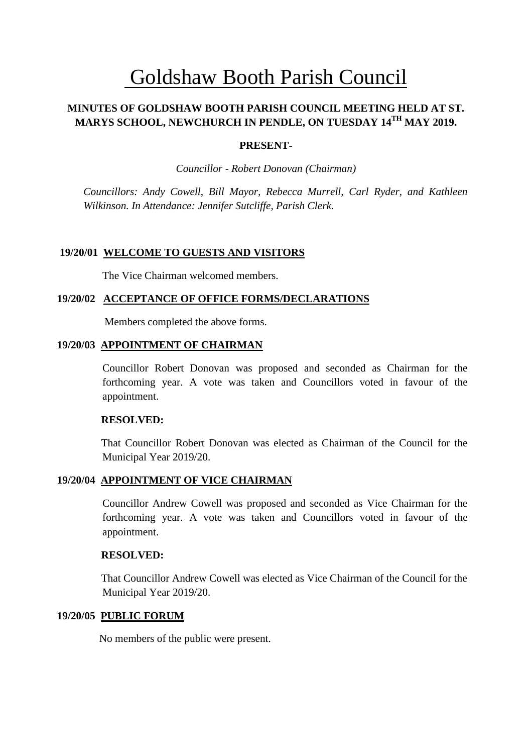# Goldshaw Booth Parish Council

# **MINUTES OF GOLDSHAW BOOTH PARISH COUNCIL MEETING HELD AT ST. MARYS SCHOOL, NEWCHURCH IN PENDLE, ON TUESDAY 14TH MAY 2019.**

# **PRESENT-**

*Councillor* - *Robert Donovan (Chairman)*

*Councillors: Andy Cowell, Bill Mayor, Rebecca Murrell, Carl Ryder, and Kathleen Wilkinson. In Attendance: Jennifer Sutcliffe, Parish Clerk.*

# **19/20/01 WELCOME TO GUESTS AND VISITORS**

The Vice Chairman welcomed members.

# **19/20/02 ACCEPTANCE OF OFFICE FORMS/DECLARATIONS**

Members completed the above forms.

#### **19/20/03 APPOINTMENT OF CHAIRMAN**

Councillor Robert Donovan was proposed and seconded as Chairman for the forthcoming year. A vote was taken and Councillors voted in favour of the appointment.

#### **RESOLVED:**

 That Councillor Robert Donovan was elected as Chairman of the Council for the Municipal Year 2019/20.

# **19/20/04 APPOINTMENT OF VICE CHAIRMAN**

Councillor Andrew Cowell was proposed and seconded as Vice Chairman for the forthcoming year. A vote was taken and Councillors voted in favour of the appointment.

#### **RESOLVED:**

 That Councillor Andrew Cowell was elected as Vice Chairman of the Council for the Municipal Year 2019/20.

# **19/20/05 PUBLIC FORUM**

No members of the public were present.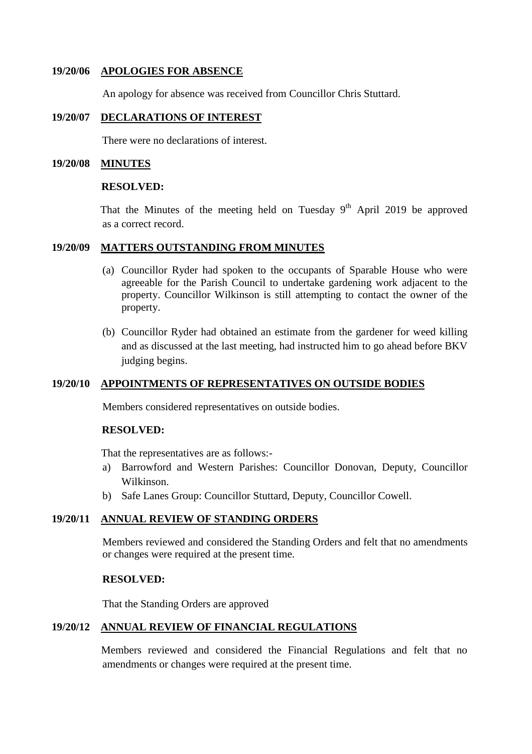## **19/20/06 APOLOGIES FOR ABSENCE**

An apology for absence was received from Councillor Chris Stuttard.

# **19/20/07 DECLARATIONS OF INTEREST**

There were no declarations of interest.

#### **19/20/08 MINUTES**

#### **RESOLVED:**

That the Minutes of the meeting held on Tuesday  $9<sup>th</sup>$  April 2019 be approved as a correct record.

#### **19/20/09 MATTERS OUTSTANDING FROM MINUTES**

- (a) Councillor Ryder had spoken to the occupants of Sparable House who were agreeable for the Parish Council to undertake gardening work adjacent to the property. Councillor Wilkinson is still attempting to contact the owner of the property.
- (b) Councillor Ryder had obtained an estimate from the gardener for weed killing and as discussed at the last meeting, had instructed him to go ahead before BKV judging begins.

# **19/20/10 APPOINTMENTS OF REPRESENTATIVES ON OUTSIDE BODIES**

Members considered representatives on outside bodies.

# **RESOLVED:**

That the representatives are as follows:-

- a) Barrowford and Western Parishes: Councillor Donovan, Deputy, Councillor Wilkinson.
- b) Safe Lanes Group: Councillor Stuttard, Deputy, Councillor Cowell.

# **19/20/11 ANNUAL REVIEW OF STANDING ORDERS**

Members reviewed and considered the Standing Orders and felt that no amendments or changes were required at the present time.

## **RESOLVED:**

That the Standing Orders are approved

# **19/20/12 ANNUAL REVIEW OF FINANCIAL REGULATIONS**

 Members reviewed and considered the Financial Regulations and felt that no amendments or changes were required at the present time.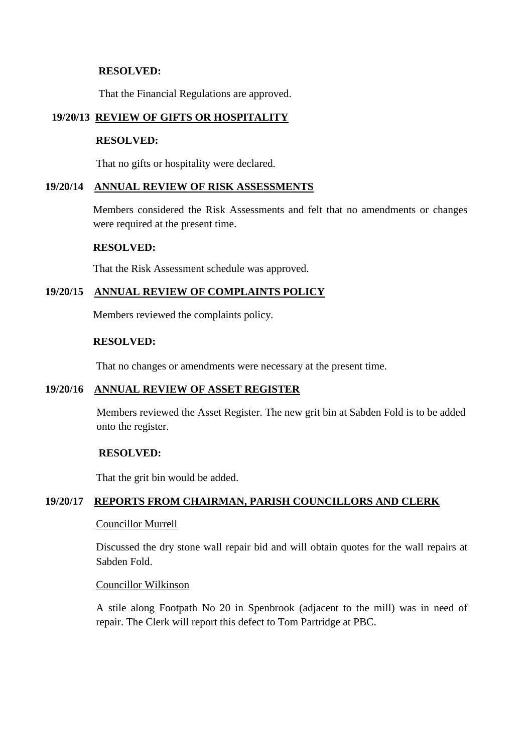# **RESOLVED:**

That the Financial Regulations are approved.

# **19/20/13 REVIEW OF GIFTS OR HOSPITALITY**

#### **RESOLVED:**

That no gifts or hospitality were declared.

# **19/20/14 ANNUAL REVIEW OF RISK ASSESSMENTS**

Members considered the Risk Assessments and felt that no amendments or changes were required at the present time.

#### **RESOLVED:**

That the Risk Assessment schedule was approved.

# **19/20/15 ANNUAL REVIEW OF COMPLAINTS POLICY**

Members reviewed the complaints policy.

#### **RESOLVED:**

That no changes or amendments were necessary at the present time.

# **19/20/16 ANNUAL REVIEW OF ASSET REGISTER**

Members reviewed the Asset Register. The new grit bin at Sabden Fold is to be added onto the register.

# **RESOLVED:**

That the grit bin would be added.

# **19/20/17 REPORTS FROM CHAIRMAN, PARISH COUNCILLORS AND CLERK**

#### Councillor Murrell

Discussed the dry stone wall repair bid and will obtain quotes for the wall repairs at Sabden Fold.

# Councillor Wilkinson

A stile along Footpath No 20 in Spenbrook (adjacent to the mill) was in need of repair. The Clerk will report this defect to Tom Partridge at PBC.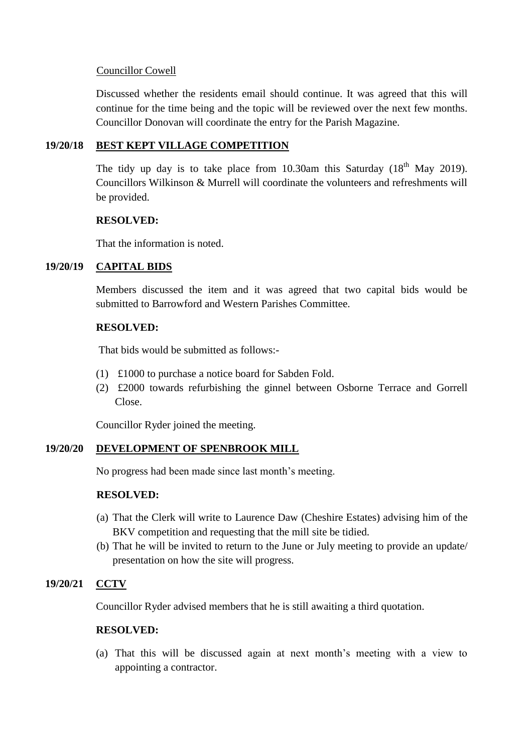# Councillor Cowell

Discussed whether the residents email should continue. It was agreed that this will continue for the time being and the topic will be reviewed over the next few months. Councillor Donovan will coordinate the entry for the Parish Magazine.

# **19/20/18 BEST KEPT VILLAGE COMPETITION**

The tidy up day is to take place from 10.30am this Saturday  $(18<sup>th</sup>$  May 2019). Councillors Wilkinson & Murrell will coordinate the volunteers and refreshments will be provided.

# **RESOLVED:**

That the information is noted.

# **19/20/19 CAPITAL BIDS**

Members discussed the item and it was agreed that two capital bids would be submitted to Barrowford and Western Parishes Committee.

# **RESOLVED:**

That bids would be submitted as follows:-

- (1) £1000 to purchase a notice board for Sabden Fold.
- (2) £2000 towards refurbishing the ginnel between Osborne Terrace and Gorrell Close.

Councillor Ryder joined the meeting.

# **19/20/20 DEVELOPMENT OF SPENBROOK MILL**

No progress had been made since last month's meeting.

# **RESOLVED:**

- (a) That the Clerk will write to Laurence Daw (Cheshire Estates) advising him of the BKV competition and requesting that the mill site be tidied.
- (b) That he will be invited to return to the June or July meeting to provide an update/ presentation on how the site will progress.

# **19/20/21 CCTV**

Councillor Ryder advised members that he is still awaiting a third quotation.

# **RESOLVED:**

(a) That this will be discussed again at next month's meeting with a view to appointing a contractor.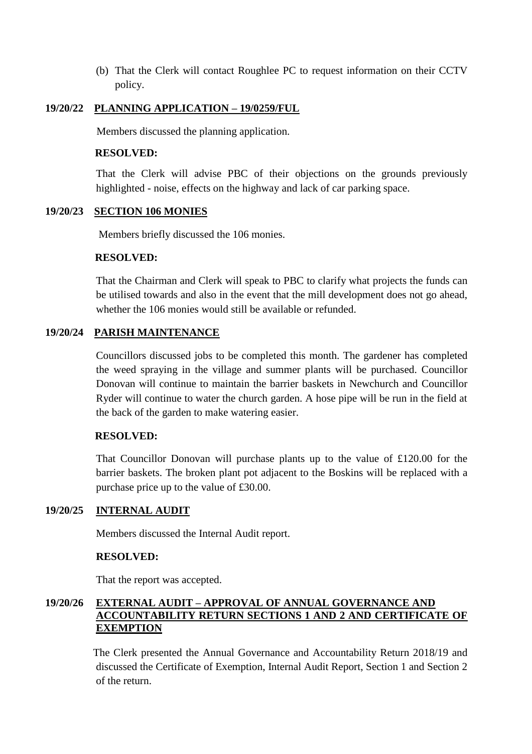(b) That the Clerk will contact Roughlee PC to request information on their CCTV policy.

# **19/20/22 PLANNING APPLICATION – 19/0259/FUL**

Members discussed the planning application.

## **RESOLVED:**

That the Clerk will advise PBC of their objections on the grounds previously highlighted - noise, effects on the highway and lack of car parking space.

#### **19/20/23 SECTION 106 MONIES**

Members briefly discussed the 106 monies.

#### **RESOLVED:**

That the Chairman and Clerk will speak to PBC to clarify what projects the funds can be utilised towards and also in the event that the mill development does not go ahead, whether the 106 monies would still be available or refunded.

# **19/20/24 PARISH MAINTENANCE**

Councillors discussed jobs to be completed this month. The gardener has completed the weed spraying in the village and summer plants will be purchased. Councillor Donovan will continue to maintain the barrier baskets in Newchurch and Councillor Ryder will continue to water the church garden. A hose pipe will be run in the field at the back of the garden to make watering easier.

#### **RESOLVED:**

That Councillor Donovan will purchase plants up to the value of £120.00 for the barrier baskets. The broken plant pot adjacent to the Boskins will be replaced with a purchase price up to the value of £30.00.

# **19/20/25 INTERNAL AUDIT**

Members discussed the Internal Audit report.

#### **RESOLVED:**

That the report was accepted.

# **19/20/26 EXTERNAL AUDIT – APPROVAL OF ANNUAL GOVERNANCE AND ACCOUNTABILITY RETURN SECTIONS 1 AND 2 AND CERTIFICATE OF EXEMPTION**

The Clerk presented the Annual Governance and Accountability Return 2018/19 and discussed the Certificate of Exemption, Internal Audit Report, Section 1 and Section 2 of the return.